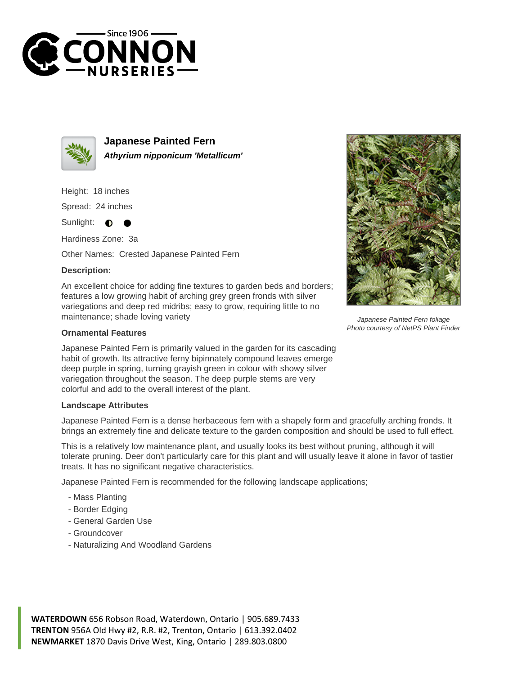



**Japanese Painted Fern Athyrium nipponicum 'Metallicum'**

Height: 18 inches

Spread: 24 inches

Sunlight:  $\bullet$ 

Hardiness Zone: 3a

Other Names: Crested Japanese Painted Fern

## **Description:**

An excellent choice for adding fine textures to garden beds and borders; features a low growing habit of arching grey green fronds with silver variegations and deep red midribs; easy to grow, requiring little to no maintenance; shade loving variety



Japanese Painted Fern is primarily valued in the garden for its cascading habit of growth. Its attractive ferny bipinnately compound leaves emerge deep purple in spring, turning grayish green in colour with showy silver variegation throughout the season. The deep purple stems are very colorful and add to the overall interest of the plant.

## **Landscape Attributes**

Japanese Painted Fern is a dense herbaceous fern with a shapely form and gracefully arching fronds. It brings an extremely fine and delicate texture to the garden composition and should be used to full effect.

This is a relatively low maintenance plant, and usually looks its best without pruning, although it will tolerate pruning. Deer don't particularly care for this plant and will usually leave it alone in favor of tastier treats. It has no significant negative characteristics.

Japanese Painted Fern is recommended for the following landscape applications;

- Mass Planting
- Border Edging
- General Garden Use
- Groundcover
- Naturalizing And Woodland Gardens

**WATERDOWN** 656 Robson Road, Waterdown, Ontario | 905.689.7433 **TRENTON** 956A Old Hwy #2, R.R. #2, Trenton, Ontario | 613.392.0402 **NEWMARKET** 1870 Davis Drive West, King, Ontario | 289.803.0800



Japanese Painted Fern foliage Photo courtesy of NetPS Plant Finder